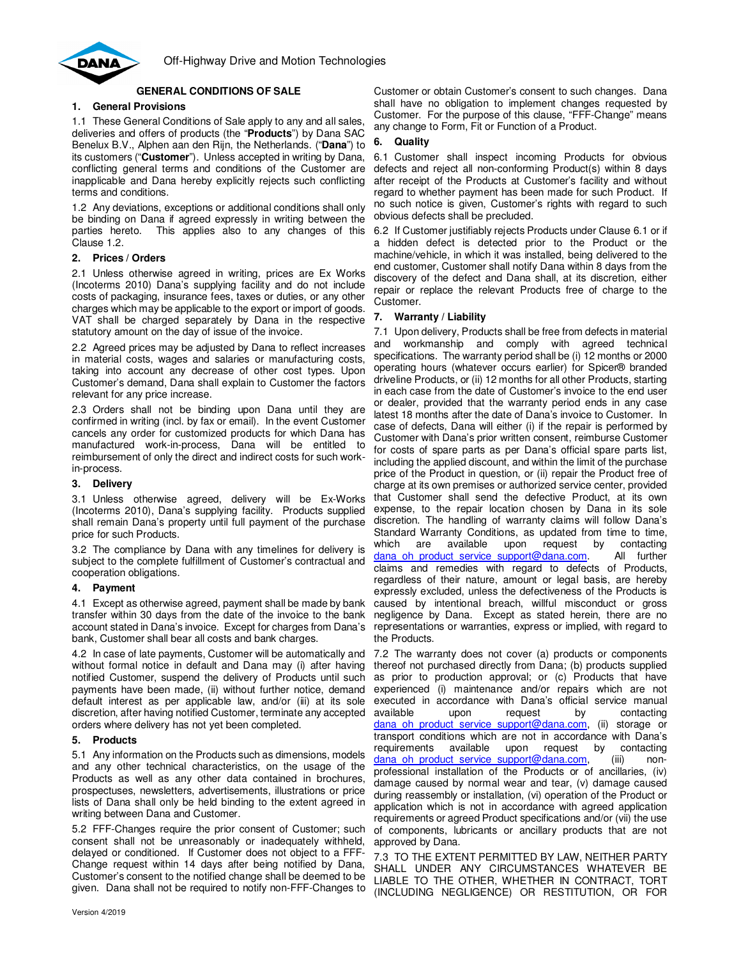

# **GENERAL CONDITIONS OF SALE**

# **1. General Provisions**

1.1 These General Conditions of Sale apply to any and all sales, deliveries and offers of products (the "**Products**") by Dana SAC Benelux B.V., Alphen aan den Rijn, the Netherlands. ("**Dana**") to its customers ("**Customer**"). Unless accepted in writing by Dana, conflicting general terms and conditions of the Customer are inapplicable and Dana hereby explicitly rejects such conflicting terms and conditions.

1.2 Any deviations, exceptions or additional conditions shall only be binding on Dana if agreed expressly in writing between the parties hereto. This applies also to any changes of this Clause 1.2.

#### **2. Prices / Orders**

2.1 Unless otherwise agreed in writing, prices are Ex Works (Incoterms 2010) Dana's supplying facility and do not include costs of packaging, insurance fees, taxes or duties, or any other charges which may be applicable to the export or import of goods. VAT shall be charged separately by Dana in the respective statutory amount on the day of issue of the invoice.

2.2 Agreed prices may be adjusted by Dana to reflect increases in material costs, wages and salaries or manufacturing costs, taking into account any decrease of other cost types. Upon Customer's demand, Dana shall explain to Customer the factors relevant for any price increase.

2.3 Orders shall not be binding upon Dana until they are confirmed in writing (incl. by fax or email). In the event Customer cancels any order for customized products for which Dana has manufactured work-in-process, Dana will be entitled to reimbursement of only the direct and indirect costs for such workin-process.

#### **3. Delivery**

3.1 Unless otherwise agreed, delivery will be Ex-Works (Incoterms 2010), Dana's supplying facility. Products supplied shall remain Dana's property until full payment of the purchase price for such Products.

3.2 The compliance by Dana with any timelines for delivery is subject to the complete fulfillment of Customer's contractual and cooperation obligations.

# **4. Payment**

4.1 Except as otherwise agreed, payment shall be made by bank transfer within 30 days from the date of the invoice to the bank account stated in Dana's invoice. Except for charges from Dana's bank, Customer shall bear all costs and bank charges.

4.2 In case of late payments, Customer will be automatically and without formal notice in default and Dana may (i) after having notified Customer, suspend the delivery of Products until such payments have been made, (ii) without further notice, demand default interest as per applicable law, and/or (iii) at its sole discretion, after having notified Customer, terminate any accepted orders where delivery has not yet been completed.

# **5. Products**

5.1 Any information on the Products such as dimensions, models and any other technical characteristics, on the usage of the Products as well as any other data contained in brochures, prospectuses, newsletters, advertisements, illustrations or price lists of Dana shall only be held binding to the extent agreed in writing between Dana and Customer.

5.2 FFF-Changes require the prior consent of Customer; such consent shall not be unreasonably or inadequately withheld, delayed or conditioned. If Customer does not object to a FFF-Change request within 14 days after being notified by Dana, Customer's consent to the notified change shall be deemed to be given. Dana shall not be required to notify non-FFF-Changes to

Customer or obtain Customer's consent to such changes. Dana shall have no obligation to implement changes requested by Customer. For the purpose of this clause, "FFF-Change" means any change to Form, Fit or Function of a Product.

## **6. Quality**

6.1 Customer shall inspect incoming Products for obvious defects and reject all non-conforming Product(s) within 8 days after receipt of the Products at Customer's facility and without regard to whether payment has been made for such Product. If no such notice is given, Customer's rights with regard to such obvious defects shall be precluded.

6.2 If Customer justifiably rejects Products under Clause 6.1 or if a hidden defect is detected prior to the Product or the machine/vehicle, in which it was installed, being delivered to the end customer, Customer shall notify Dana within 8 days from the discovery of the defect and Dana shall, at its discretion, either repair or replace the relevant Products free of charge to the Customer.

## **7. Warranty / Liability**

7.1 Upon delivery, Products shall be free from defects in material and workmanship and comply with agreed technical specifications. The warranty period shall be (i) 12 months or 2000 operating hours (whatever occurs earlier) for Spicer® branded driveline Products, or (ii) 12 months for all other Products, starting in each case from the date of Customer's invoice to the end user or dealer, provided that the warranty period ends in any case latest 18 months after the date of Dana's invoice to Customer. In case of defects, Dana will either (i) if the repair is performed by Customer with Dana's prior written consent, reimburse Customer for costs of spare parts as per Dana's official spare parts list, including the applied discount, and within the limit of the purchase price of the Product in question, or (ii) repair the Product free of charge at its own premises or authorized service center, provided that Customer shall send the defective Product, at its own expense, to the repair location chosen by Dana in its sole discretion. The handling of warranty claims will follow Dana's Standard Warranty Conditions, as updated from time to time, which are available upon request by contacting dana oh product service support@dana.com. All further claims and remedies with regard to defects of Products, regardless of their nature, amount or legal basis, are hereby expressly excluded, unless the defectiveness of the Products is caused by intentional breach, willful misconduct or gross negligence by Dana. Except as stated herein, there are no representations or warranties, express or implied, with regard to the Products.

7.2 The warranty does not cover (a) products or components thereof not purchased directly from Dana; (b) products supplied as prior to production approval; or (c) Products that have experienced (i) maintenance and/or repairs which are not executed in accordance with Dana's official service manual available upon request by contacting dana oh product service support@dana.com, (ii) storage or transport conditions which are not in accordance with Dana's requirements available upon request by contacting dana\_oh\_product\_service\_support@dana.com, (iii) nonprofessional installation of the Products or of ancillaries, (iv) damage caused by normal wear and tear, (v) damage caused during reassembly or installation, (vi) operation of the Product or application which is not in accordance with agreed application requirements or agreed Product specifications and/or (vii) the use of components, lubricants or ancillary products that are not approved by Dana.

7.3 TO THE EXTENT PERMITTED BY LAW, NEITHER PARTY SHALL UNDER ANY CIRCUMSTANCES WHATEVER BE LIABLE TO THE OTHER, WHETHER IN CONTRACT, TORT (INCLUDING NEGLIGENCE) OR RESTITUTION, OR FOR